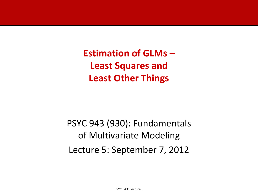**Estimation of GLMs – Least Squares and Least Other Things**

PSYC 943 (930): Fundamentals of Multivariate Modeling Lecture 5: September 7, 2012

PSYC 943: Lecture 5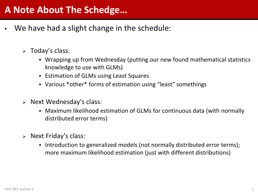- We have had a slight change in the schedule:
	- $\triangleright$  Today's class:
		- Wrapping up from Wednesday (putting our new found mathematical statistics knowledge to use with GLMs)
		- Estimation of GLMs using Least Squares
		- Various \*other\* forms of estimation using "least" somethings
	- $\triangleright$  Next Wednesday's class:
		- Maximum likelihood estimation of GLMs for continuous data (with normally distributed error terms)
	- $\triangleright$  Next Friday's class:
		- Introduction to generalized models (not normally distributed error terms); more maximum likelihood estimation (just with different distributions)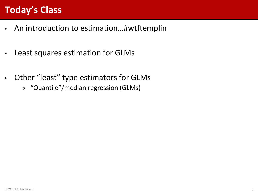# **Today's Class**

- An introduction to estimation…#wtftemplin
- Least squares estimation for GLMs
- Other "least" type estimators for GLMs
	- "Quantile"/median regression (GLMs)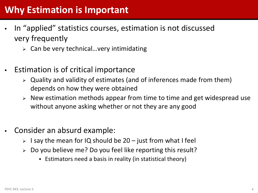## **Why Estimation is Important**

- In "applied" statistics courses, estimation is not discussed very frequently
	- $\triangleright$  Can be very technical... very intimidating
- Estimation is of critical importance
	- $\triangleright$  Quality and validity of estimates (and of inferences made from them) depends on how they were obtained
	- $\triangleright$  New estimation methods appear from time to time and get widespread use without anyone asking whether or not they are any good
- Consider an absurd example:
	- $>$  I say the mean for IQ should be 20 just from what I feel
	- $\geq 0$  Do you believe me? Do you feel like reporting this result?
		- Estimators need a basis in reality (in statistical theory)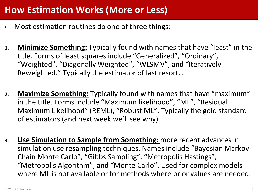# **How Estimation Works (More or Less)**

- Most estimation routines do one of three things:
- **1. Minimize Something:** Typically found with names that have "least" in the title. Forms of least squares include "Generalized", "Ordinary", "Weighted", "Diagonally Weighted", "WLSMV", and "Iteratively Reweighted." Typically the estimator of last resort…
- **2. Maximize Something:** Typically found with names that have "maximum" in the title. Forms include "Maximum likelihood", "ML", "Residual Maximum Likelihood" (REML), "Robust ML". Typically the gold standard of estimators (and next week we'll see why).
- **3. Use Simulation to Sample from Something:** more recent advances in simulation use resampling techniques. Names include "Bayesian Markov Chain Monte Carlo", "Gibbs Sampling", "Metropolis Hastings", "Metropolis Algorithm", and "Monte Carlo". Used for complex models where ML is not available or for methods where prior values are needed.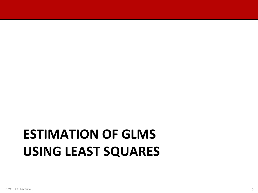# **ESTIMATION OF GLMS USING LEAST SQUARES**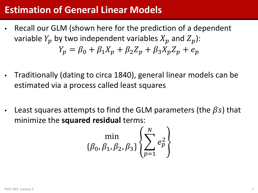#### **Estimation of General Linear Models**

- Recall our GLM (shown here for the prediction of a dependent variable  $Y_p$  by two independent variables  $X_p$  and  $Z_p$ ):  $Y_p = \beta_0 + \beta_1 X_p + \beta_2 Z_p + \beta_3 X_p Z_p + e_p$
- Traditionally (dating to circa 1840), general linear models can be estimated via a process called least squares
- Least squares attempts to find the GLM parameters (the  $\beta s$ ) that minimize the **squared residual** terms:

$$
\min_{\{\beta_0, \beta_1, \beta_2, \beta_3\}} \left\{ \sum_{p=1}^N e_p^2 \right\}
$$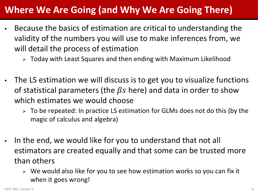# **Where We Are Going (and Why We Are Going There)**

- Because the basics of estimation are critical to understanding the validity of the numbers you will use to make inferences from, we will detail the process of estimation
	- Today with Least Squares and then ending with Maximum Likelihood
- The LS estimation we will discuss is to get you to visualize functions of statistical parameters (the  $\beta s$  here) and data in order to show which estimates we would choose
	- $\geq$  To be repeated: In practice LS estimation for GLMs does not do this (by the magic of calculus and algebra)
- In the end, we would like for you to understand that not all estimators are created equally and that some can be trusted more than others
	- $\triangleright$  We would also like for you to see how estimation works so you can fix it when it goes wrong!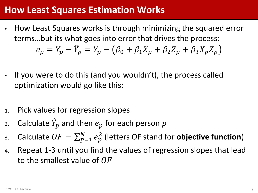#### **How Least Squares Estimation Works**

- How Least Squares works is through minimizing the squared error terms…but its what goes into error that drives the process:  $e_p = Y_p - Y_p = Y_p - (\beta_0 + \beta_1 X_p + \beta_2 Z_p + \beta_3 X_p Z_p)$
- If you were to do this (and you wouldn't), the process called optimization would go like this:
- 1. Pick values for regression slopes
- 2. Calculate  $\hat{Y}_p$  and then  $e_p$  for each person  $p$
- 3. Calculate  $OF = \sum_{p=1}^{N} e_p^2$  (letters OF stand for **objective function**)
- 4. Repeat 1-3 until you find the values of regression slopes that lead to the smallest value of  $OF$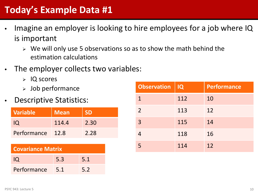# **Today's Example Data #1**

- Imagine an employer is looking to hire employees for a job where IQ is important
	- $\triangleright$  We will only use 5 observations so as to show the math behind the estimation calculations
- The employer collects two variables:
	- $>$  IQ scores
	- $>$  Job performance
- **Descriptive Statistics:**

| <b>Variable</b> | <b>Mean</b> | <b>SD</b> |
|-----------------|-------------|-----------|
| O               | 114.4       | 2.30      |
| Performance     | 12.8        | 2.28      |

| <b>Covariance Matrix</b> |     |     |  |  |  |  |  |  |
|--------------------------|-----|-----|--|--|--|--|--|--|
| <b>IQ</b>                | 5.3 | 5.1 |  |  |  |  |  |  |
| Performance              | 5.1 | 5.2 |  |  |  |  |  |  |

| <b>Observation</b> | IQ  | Performance |
|--------------------|-----|-------------|
| $\mathbf 1$        | 112 | 10          |
| $\overline{2}$     | 113 | 12          |
| $\overline{3}$     | 115 | 14          |
|                    | 118 | 16          |
|                    | 114 | 12          |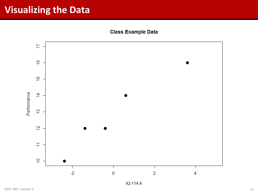#### **Visualizing the Data**

**Class Example Data** 



IQ-114.4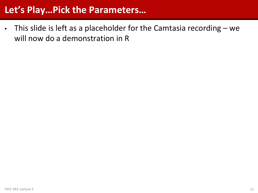#### **Let's Play…Pick the Parameters…**

• This slide is left as a placeholder for the Camtasia recording – we will now do a demonstration in R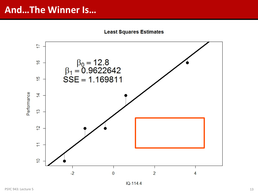#### **And…The Winner Is…**

**Least Squares Estimates** 



IQ-114.4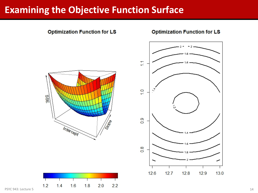#### **Examining the Objective Function Surface**



PSYC 943: Lecture 5 14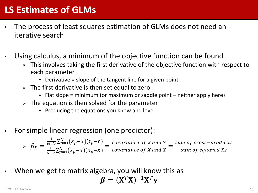### **LS Estimates of GLMs**

- The process of least squares estimation of GLMs does not need an iterative search
- Using calculus, a minimum of the objective function can be found
	- $\triangleright$  This involves taking the first derivative of the objective function with respect to each parameter
		- $\bullet$  Derivative = slope of the tangent line for a given point
	- $\triangleright$  The first derivative is then set equal to zero
		- Flat slope = minimum (or maximum or saddle point neither apply here)
	- $\triangleright$  The equation is then solved for the parameter
		- Producing the equations you know and love
- For simple linear regression (one predictor):

 $\triangleright$   $\beta_X =$  $\frac{1}{N-k} \sum_{p=1}^{N} (X_p - \bar{X})(Y_p - \bar{Y})$  $\frac{1}{N-k} \sum_{p=1}^{N} (X_p - \bar{X}) (X_p - \bar{X})$ = covariance of X and Y  $\frac{y}{1 - y}$  covariance of X and X sum of cross−product sum of squared X

When we get to matrix algebra, you will know this as  $\boldsymbol{\beta} = (\mathbf{X}^T \mathbf{X})^{-1} \mathbf{X}^T \mathbf{y}$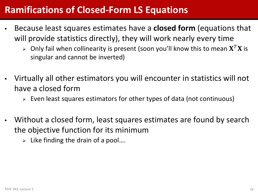#### **Ramifications of Closed-Form LS Equations**

- Because least squares estimates have a **closed form** (equations that will provide statistics directly), they will work nearly every time
	- $\triangleright$  Only fail when collinearity is present (soon you'll know this to mean  $X^T X$  is singular and cannot be inverted)
- Virtually all other estimators you will encounter in statistics will not have a closed form
	- $\triangleright$  Even least squares estimators for other types of data (not continuous)
- Without a closed form, least squares estimates are found by search the objective function for its minimum
	- $\triangleright$  Like finding the drain of a pool....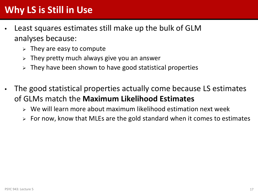# **Why LS is Still in Use**

- Least squares estimates still make up the bulk of GLM analyses because:
	- $\triangleright$  They are easy to compute
	- $\triangleright$  They pretty much always give you an answer
	- $\triangleright$  They have been shown to have good statistical properties
- The good statistical properties actually come because LS estimates of GLMs match the **Maximum Likelihood Estimates**
	- $\triangleright$  We will learn more about maximum likelihood estimation next week
	- $\triangleright$  For now, know that MLEs are the gold standard when it comes to estimates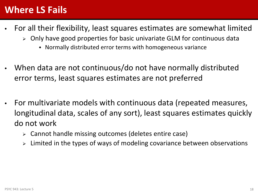#### **Where LS Fails**

- For all their flexibility, least squares estimates are somewhat limited
	- $\triangleright$  Only have good properties for basic univariate GLM for continuous data
		- Normally distributed error terms with homogeneous variance
- When data are not continuous/do not have normally distributed error terms, least squares estimates are not preferred
- For multivariate models with continuous data (repeated measures, longitudinal data, scales of any sort), least squares estimates quickly do not work
	- Cannot handle missing outcomes (deletes entire case)
	- Limited in the types of ways of modeling covariance between observations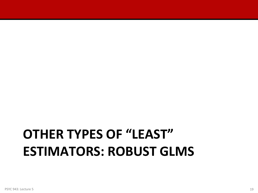# **OTHER TYPES OF "LEAST" ESTIMATORS: ROBUST GLMS**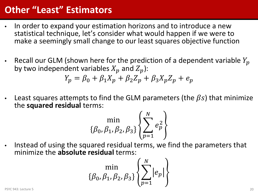## **Other "Least" Estimators**

- In order to expand your estimation horizons and to introduce a new statistical technique, let's consider what would happen if we were to make a seemingly small change to our least squares objective function
- Recall our GLM (shown here for the prediction of a dependent variable  $Y_p$ by two independent variables  $X_p$  and  $Z_p$ ):

$$
Y_p = \beta_0 + \beta_1 X_p + \beta_2 Z_p + \beta_3 X_p Z_p + e_p
$$

Least squares attempts to find the GLM parameters (the  $\beta s$ ) that minimize the **squared residual** terms:

$$
\min_{\{\beta_0, \beta_1, \beta_2, \beta_3\}} \left\{ \sum_{p=1}^N e_p^2 \right\}
$$

• Instead of using the squared residual terms, we find the parameters that minimize the **absolute residual** terms:

$$
\min_{\{\beta_0, \beta_1, \beta_2, \beta_3\}} \left\{ \sum_{p=1}^N |e_p| \right\}
$$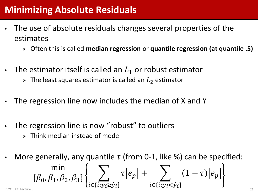## **Minimizing Absolute Residuals**

- The use of absolute residuals changes several properties of the estimates
	- Often this is called **median regression** or **quantile regression (at quantile .5)**
- The estimator itself is called an  $L_1$  or robust estimator
	- $\triangleright$  The least squares estimator is called an  $L_2$  estimator
- The regression line now includes the median of X and Y
- The regression line is now "robust" to outliers
	- $\triangleright$  Think median instead of mode
- More generally, any quantile  $\tau$  (from 0-1, like %) can be specified: min  $\{\beta_0, \beta_1, \beta_2, \beta_3\}$   $\sum_{i \in \{i, y_i > \hat{y}_i\}} \tau | e_p$  $\in$ { $i$ : $y$ <sub> $i$ </sub> $\geq$  $\hat{y}$ <sub> $i$ </sub>  $+$   $\left(1-\tau\right)|e_p$ PSYC 943: Lecture 5  $\{i \in \{l: y_{\hat{l}} \geq \hat{y}_{\hat{l}}\}$   $i \in \{l: y_{\hat{l}} < \hat{y}_{\hat{l}}\}$  )  $\{l \in \{l: y_{\hat{l}} < \hat{y}_{\hat{l}}\}$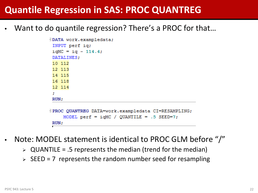#### **Quantile Regression in SAS: PROC QUANTREG**

Want to do quantile regression? There's a PROC for that...

```
JDATA work.exampledata;
 INPUT perf iq;
 i aMC = i a - 114.4;
 DATALINES:
 10 112
 12 113
 14 115
 16 118
 12 114
 ÷.
 RUN:IPROC QUANTREG DATA=work.exampledata CI=RESAMPLING;
     MODEL perf = iqMC / QUANTILE = .5 SEED=7;
 RUN;
```
- Note: MODEL statement is identical to PROC GLM before "/"
	- $\triangleright$  QUANTILE = .5 represents the median (trend for the median)
	- $\triangleright$  SEED = 7 represents the random number seed for resampling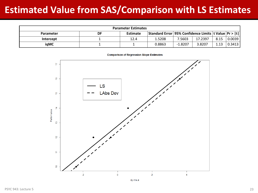# **Estimated Value from SAS/Comparison with LS Estimates**

| <b>Parameter Estimates</b> |    |          |        |                                                             |         |      |        |  |  |  |
|----------------------------|----|----------|--------|-------------------------------------------------------------|---------|------|--------|--|--|--|
| <b>Parameter</b>           | DF | Estimate |        | Standard Error   95% Confidence Limits   t Value   Pr >   t |         |      |        |  |  |  |
| Intercept                  |    | 12.4     | 1.5208 | 7.5603                                                      | 17.2397 | 8.15 | 0.0039 |  |  |  |
| iqMC                       |    |          | 0.8863 | $-1.8207$                                                   | 3.8207  | 1.13 | 0.3413 |  |  |  |

**Comparison of Regression Slope Estimates** 



 $IQ-114.4$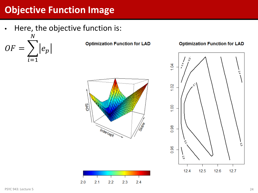# **Objective Function Image**

Here, the objective function is:

 $OF = \sum |e_p|$  $\boldsymbol{N}$  $=1$ 

**Optimization Function for LAD** 

#### **Optimization Function for LAD**



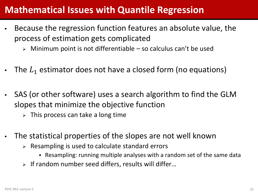#### **Mathematical Issues with Quantile Regression**

- Because the regression function features an absolute value, the process of estimation gets complicated
	- $\triangleright$  Minimum point is not differentiable so calculus can't be used
- The  $L_1$  estimator does not have a closed form (no equations)
- SAS (or other software) uses a search algorithm to find the GLM slopes that minimize the objective function
	- $\triangleright$  This process can take a long time
- The statistical properties of the slopes are not well known
	- $\triangleright$  Resampling is used to calculate standard errors
		- Resampling: running multiple analyses with a random set of the same data
	- $\triangleright$  If random number seed differs, results will differ...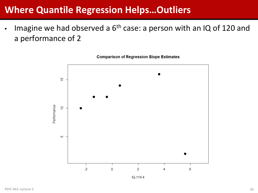#### **Where Quantile Regression Helps…Outliers**

Imagine we had observed a  $6<sup>th</sup>$  case: a person with an IQ of 120 and a performance of 2



**Comparison of Regression Slope Estimates** 

IQ-114.4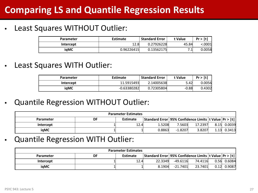# **Comparing LS and Quantile Regression Results**

#### Least Squares WITHOUT Outlier:

| Parameter | <b>Estimate</b> | <b>Standard Error</b> | t Value | Pr >  t |
|-----------|-----------------|-----------------------|---------|---------|
| Intercept | 12.8            | 0.27926228            | 45.84   | 0001):  |
| iaMC      | 0.96226415      | 0.13562175            | 7.1     | 0.0058  |

Least Squares WITH Outlier:

| Parameter | <b>Estimate</b> | <b>Standard Error</b> | t Value | Pr >  t |
|-----------|-----------------|-----------------------|---------|---------|
| Intercept | 11.5915493      | 2.14005638            | 5.42    | 0.0056  |
| iaMC      | $-0.63380282$   | 0.72305804            | $-0.88$ | 0.4302  |

• Quantile Regression WITHOUT Outlier:

| <b>Parameter Estimates</b> |    |          |        |                                                             |         |  |                     |  |  |  |
|----------------------------|----|----------|--------|-------------------------------------------------------------|---------|--|---------------------|--|--|--|
| <b>Parameter</b>           | DF | Estimate |        | Standard Error   95% Confidence Limits   t Value   Pr >   t |         |  |                     |  |  |  |
| Intercept                  |    | 12.4     | 1.5208 | 7.5603                                                      | 17.2397 |  | $8.15$ 0.0039       |  |  |  |
| igMC                       |    |          | 0.8863 | $-1.8207$                                                   | 3.8207  |  | $1.13 \quad 0.3413$ |  |  |  |

• Quantile Regression WITH Outlier:

| <b>Parameter Estimates</b> |    |                 |         |                                                             |         |      |        |  |  |  |  |
|----------------------------|----|-----------------|---------|-------------------------------------------------------------|---------|------|--------|--|--|--|--|
| <b>Parameter</b>           | DF | <b>Estimate</b> |         | Standard Error   95% Confidence Limits   t Value   Pr >   t |         |      |        |  |  |  |  |
| Intercept                  |    | 12.4            | 22.3349 | -49.6116                                                    | 74.4116 | 0.56 | 0.6084 |  |  |  |  |
| iaMC                       |    |                 | 8.1904  | -21.7401                                                    | 23.7401 | 0.12 | 0.9087 |  |  |  |  |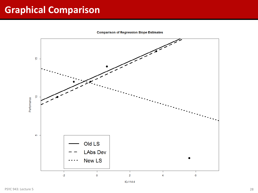# **Graphical Comparison**

**Comparison of Regression Slope Estimates** 

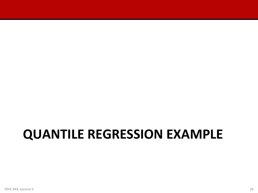# **QUANTILE REGRESSION EXAMPLE**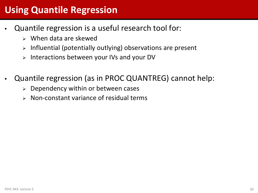### **Using Quantile Regression**

- Quantile regression is a useful research tool for:
	- When data are skewed
	- $\triangleright$  Influential (potentially outlying) observations are present
	- $\triangleright$  Interactions between your IVs and your DV
- Quantile regression (as in PROC QUANTREG) cannot help:
	- $\triangleright$  Dependency within or between cases
	- $\triangleright$  Non-constant variance of residual terms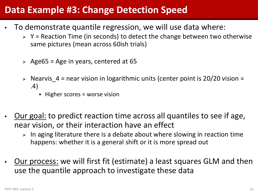#### **Data Example #3: Change Detection Speed**

- To demonstrate quantile regression, we will use data where:
	- $\triangleright$  Y = Reaction Time (in seconds) to detect the change between two otherwise same pictures (mean across 60ish trials)
	- $\geq$  Age65 = Age in years, centered at 65
	- $\triangleright$  Nearvis 4 = near vision in logarithmic units (center point is 20/20 vision = .4)
		- $\cdot$  Higher scores = worse vision
- Our goal: to predict reaction time across all quantiles to see if age, near vision, or their interaction have an effect
	- $>$  In aging literature there is a debate about where slowing in reaction time happens: whether it is a general shift or it is more spread out
- Our process: we will first fit (estimate) a least squares GLM and then use the quantile approach to investigate these data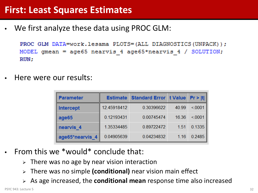We first analyze these data using PROC GLM:

PROC GLM DATA=work.lesama PLOTS=(ALL DIAGNOSTICS(UNPACK)); MODEL gmean =  $age65$  nearvis 4 age65\*nearvis 4 / SOLUTION; RUN:

• Here were our results:

| <b>Parameter</b>     |             | <b>Estimate Standard Error t Value Pr &gt;  t    </b> |       |        |
|----------------------|-------------|-------------------------------------------------------|-------|--------|
| <b>Intercept</b>     | 12.45918412 | 0.30396622                                            | 40.99 | < 0001 |
| age65                | 0.12193431  | 0.00745474                                            | 16.36 | < 0001 |
| nearvis <sub>4</sub> | 1.35334485  | 0.89722472                                            | 1.51  | 0.1335 |
| age65*nearvis 4      | 0.04905639  | 0.04234832                                            | 1.16  | 0.2485 |

- From this we \*would\* conclude that:
	- $\triangleright$  There was no age by near vision interaction
	- There was no simple **(conditional)** near vision main effect
	- As age increased, the **conditional mean** response time also increased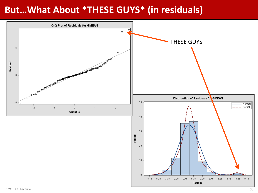#### **But…What About \*THESE GUYS\* (in residuals)**

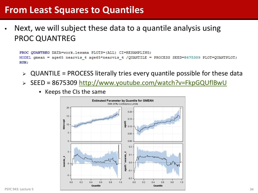#### **From Least Squares to Quantiles**

Next, we will subject these data to a quantile analysis using PROC QUANTREG

```
PROC OUANTREG DATA=work.lesama PLOTS=(ALL) CI=RESAMPLING;
MODEL gmean = age65 nearvis 4 age65*nearvis 4 /QUANTILE = PROCESS SEED=8675309 PLOT=QUANTPLOT;
RUN:
```
- QUANTILE = PROCESS literally tries every quantile possible for these data
- $\triangleright$  SEED = 8675309<http://www.youtube.com/watch?v=FkpGQUflBwU>
	- $\bullet$  Keeps the CIs the same

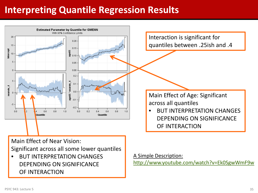#### **Interpreting Quantile Regression Results**

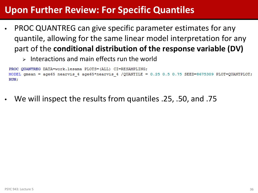#### **Upon Further Review: For Specific Quantiles**

- PROC QUANTREG can give specific parameter estimates for any quantile, allowing for the same linear model interpretation for any part of the **conditional distribution of the response variable (DV)**
	- $\triangleright$  Interactions and main effects run the world

```
PROC QUANTREG DATA=work.lesama PLOTS=(ALL) CI=RESAMPLING;
MODEL gmean = age65 nearvis 4 age65*nearvis 4 /QUANTILE = 0.25 0.5 0.75 SEED=8675309 PLOT=QUANTPLOT;
RUN:
```
• We will inspect the results from quantiles .25, .50, and .75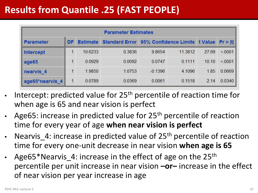# **Results from Quantile .25 (FAST PEOPLE)**

| <b>Parameter Estimates</b> |    |                 |                                                      |           |         |       |        |  |  |  |  |
|----------------------------|----|-----------------|------------------------------------------------------|-----------|---------|-------|--------|--|--|--|--|
| <b>Parameter</b>           | DF | <b>Estimate</b> | Standard Error 95% Confidence Limits t Value Pr >  t |           |         |       |        |  |  |  |  |
| Intercept                  |    | 10.6233         | 0.3836                                               | 9.8654    | 11.3812 | 27.69 | < 0001 |  |  |  |  |
| age65                      |    | 0.0929          | 0.0092                                               | 0.0747    | 0.1111  | 10.10 | < 0001 |  |  |  |  |
| nearvis 4                  |    | 1.9850          | 1.0753                                               | $-0.1396$ | 4.1096  | 1.85  | 0.0669 |  |  |  |  |
| age65*nearvis 4            |    | 0.0789          | 0.0369                                               | 0.0061    | 0.1518  | 2.14  | 0.0340 |  |  |  |  |

- Intercept: predicted value for 25<sup>th</sup> percentile of reaction time for when age is 65 and near vision is perfect
- Age65: increase in predicted value for  $25<sup>th</sup>$  percentile of reaction time for every year of age **when near vision is perfect**
- Nearvis 4: increase in predicted value of 25<sup>th</sup> percentile of reaction time for every one-unit decrease in near vision **when age is 65**
- Age65\*Nearvis 4: increase in the effect of age on the  $25<sup>th</sup>$ percentile per unit increase in near vision **–or–** increase in the effect of near vision per year increase in age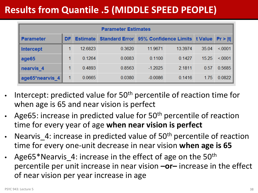# **Results from Quantile .5 (MIDDLE SPEED PEOPLE)**

| <b>Parameter Estimates</b> |           |                 |                                                      |           |         |       |        |  |  |  |  |
|----------------------------|-----------|-----------------|------------------------------------------------------|-----------|---------|-------|--------|--|--|--|--|
| <b>Parameter</b>           | <b>DF</b> | <b>Estimate</b> | Standard Error 95% Confidence Limits t Value Pr >  t |           |         |       |        |  |  |  |  |
| <b>Intercept</b>           |           | 12.6823         | 0.3620                                               | 11.9671   | 13.3974 | 35.04 | < 0001 |  |  |  |  |
| age65                      |           | 0.1264          | 0.0083                                               | 0.1100    | 0.1427  | 15.25 | < 0001 |  |  |  |  |
| nearvis <sub>4</sub>       |           | 0.4893          | 0.8563                                               | $-1.2025$ | 2.1811  | 0.57  | 0.5685 |  |  |  |  |
| age65*nearvis 4            |           | 0.0665          | 0.0380                                               | $-0.0086$ | 0.1416  | 1.75  | 0.0822 |  |  |  |  |

- Intercept: predicted value for  $50<sup>th</sup>$  percentile of reaction time for when age is 65 and near vision is perfect
- Age65: increase in predicted value for 50<sup>th</sup> percentile of reaction time for every year of age **when near vision is perfect**
- Nearvis 4: increase in predicted value of 50<sup>th</sup> percentile of reaction time for every one-unit decrease in near vision **when age is 65**
- Age65\*Nearvis 4: increase in the effect of age on the  $50<sup>th</sup>$ percentile per unit increase in near vision **–or–** increase in the effect of near vision per year increase in age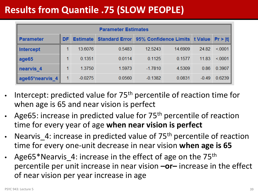# **Results from Quantile .75 (SLOW PEOPLE)**

| <b>Parameter Estimates</b> |    |                 |                                                     |           |         |         |         |  |  |  |  |
|----------------------------|----|-----------------|-----------------------------------------------------|-----------|---------|---------|---------|--|--|--|--|
| <b>Parameter</b>           | DF | <b>Estimate</b> | <b>Standard Error 95% Confidence Limits t Value</b> |           |         |         | Pr >  t |  |  |  |  |
| <b>Intercept</b>           |    | 13.6076         | 0.5483                                              | 12.5243   | 14.6909 | 24.82   | < 0001  |  |  |  |  |
| age65                      |    | 0.1351          | 0.0114                                              | 0.1125    | 0.1577  | 11.83   | < 0001  |  |  |  |  |
| nearvis <sub>4</sub>       |    | 1.3750          | 1.5973                                              | $-1.7810$ | 4.5309  | 0.86    | 0.3907  |  |  |  |  |
| age65*nearvis 4            |    | $-0.0275$       | 0.0560                                              | $-0.1382$ | 0.0831  | $-0.49$ | 0.6239  |  |  |  |  |

- Intercept: predicted value for 75<sup>th</sup> percentile of reaction time for when age is 65 and near vision is perfect
- Age65: increase in predicted value for 75<sup>th</sup> percentile of reaction time for every year of age **when near vision is perfect**
- Nearvis 4: increase in predicted value of 75<sup>th</sup> percentile of reaction time for every one-unit decrease in near vision **when age is 65**
- Age65\*Nearvis 4: increase in the effect of age on the  $75<sup>th</sup>$ percentile per unit increase in near vision **–or–** increase in the effect of near vision per year increase in age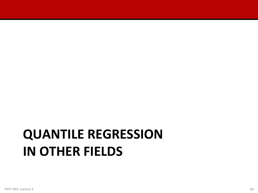# **QUANTILE REGRESSION IN OTHER FIELDS**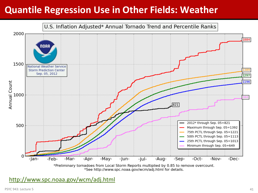# **Quantile Regression Use in Other Fields: Weather**



<http://www.spc.noaa.gov/wcm/adj.html>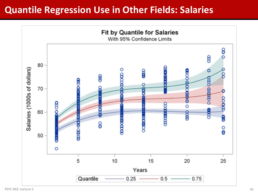#### **Quantile Regression Use in Other Fields: Salaries**

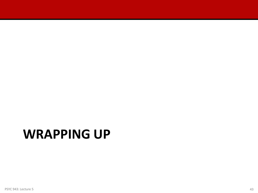# **WRAPPING UP**